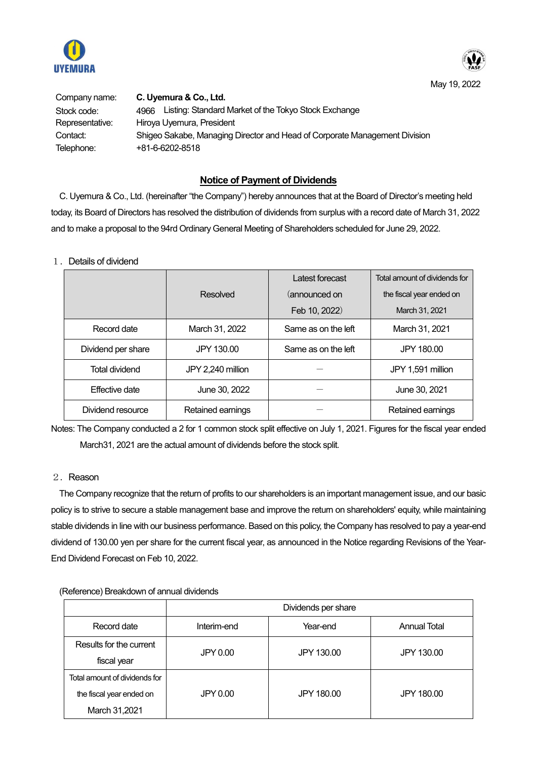



| Company name:   | C. Uyemura & Co., Ltd.                                                     |
|-----------------|----------------------------------------------------------------------------|
| Stock code:     | Listing: Standard Market of the Tokyo Stock Exchange<br>4966               |
| Representative: | Hiroya Uyemura, President                                                  |
| Contact:        | Shigeo Sakabe, Managing Director and Head of Corporate Management Division |
| Telephone:      | +81-6-6202-8518                                                            |

## **Notice of Payment of Dividends**

C. Uyemura & Co., Ltd. (hereinafter "the Company") hereby announces that at the Board of Director's meeting held today, its Board of Directors has resolved the distribution of dividends from surplus with a record date of March 31, 2022 and to make a proposal to the 94rd Ordinary General Meeting of Shareholders scheduled for June 29, 2022.

## 1.Details of dividend

|                    |                   | Latest forecast     | Total amount of dividends for |
|--------------------|-------------------|---------------------|-------------------------------|
|                    | Resolved          | (announced on       | the fiscal year ended on      |
|                    |                   | Feb 10, 2022)       | March 31, 2021                |
| Record date        | March 31, 2022    | Same as on the left | March 31, 2021                |
| Dividend per share | JPY 130.00        | Same as on the left | JPY 180.00                    |
| Total dividend     | JPY 2,240 million |                     | JPY 1,591 million             |
| Effective date     | June 30, 2022     |                     | June 30, 2021                 |
| Dividend resource  | Retained earnings |                     | Retained earnings             |

Notes: The Company conducted a 2 for 1 common stock split effective on July 1, 2021. Figures for the fiscal year ended March31, 2021 are the actual amount of dividends before the stock split.

## 2. Reason

The Company recognize that the return of profits to our shareholders is an important management issue, and our basic policy is to strive to secure a stable management base and improve the return on shareholders' equity, while maintaining stable dividends in line with our business performance. Based on this policy, the Company has resolved to pay a year-end dividend of 130.00 yen per share for the current fiscal year, as announced in the Notice regarding Revisions of the Year-End Dividend Forecast on Feb 10, 2022.

|                               | Dividends per share |            |                     |
|-------------------------------|---------------------|------------|---------------------|
| Record date                   | Interim-end         | Year-end   | <b>Annual Total</b> |
| Results for the current       | JPY 0.00            | JPY 130.00 | JPY 130.00          |
| fiscal year                   |                     |            |                     |
| Total amount of dividends for |                     |            |                     |
| the fiscal year ended on      | JPY 0.00            | JPY 180.00 | JPY 180.00          |
| March 31,2021                 |                     |            |                     |

(Reference) Breakdown of annual dividends